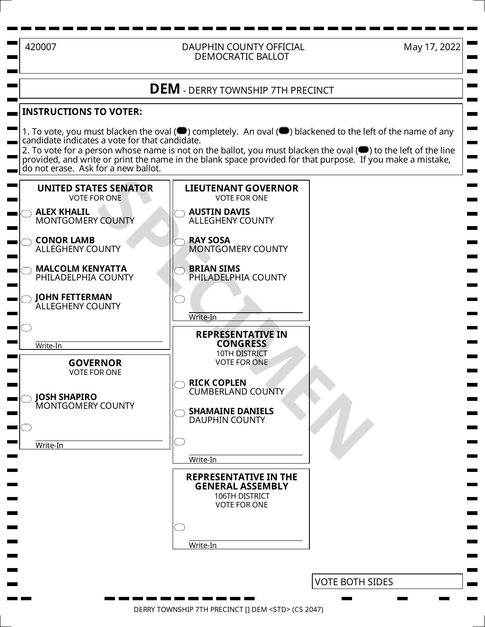## 420007 DAUPHIN COUNTY OFFICIAL DEMOCRATIC BALLOT

May 17, 2022

## **DEM** - DERRY TOWNSHIP 7TH PRECINCT

## **INSTRUCTIONS TO VOTER:**

1. To vote, you must blacken the oval ( $\blacksquare$ ) completely. An oval ( $\blacksquare$ ) blackened to the left of the name of any candidate indicates a vote for that candidate.

2. To vote for a person whose name is not on the ballot, you must blacken the oval  $($ **)** to the left of the line provided, and write or print the name in the blank space provided for that purpose. If you make a mistake, do not erase. Ask for a new ballot.



VOTE BOTH SIDES